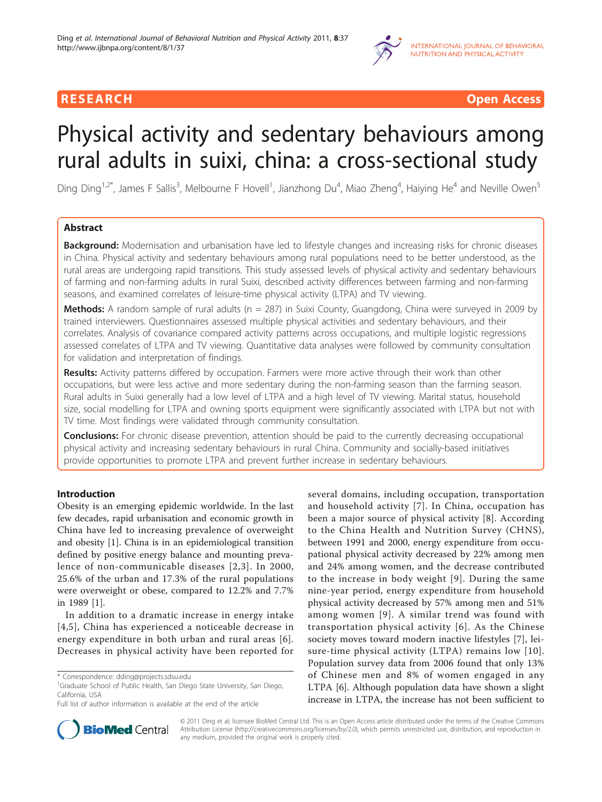

**RESEARCH Open Access** 

# Physical activity and sedentary behaviours among rural adults in suixi, china: a cross-sectional study

Ding Ding<sup>1,2\*</sup>, James F Sallis<sup>3</sup>, Melbourne F Hovell<sup>1</sup>, Jianzhong Du<sup>4</sup>, Miao Zheng<sup>4</sup>, Haiying He<sup>4</sup> and Neville Owen<sup>5</sup>

# Abstract

**Background:** Modernisation and urbanisation have led to lifestyle changes and increasing risks for chronic diseases in China. Physical activity and sedentary behaviours among rural populations need to be better understood, as the rural areas are undergoing rapid transitions. This study assessed levels of physical activity and sedentary behaviours of farming and non-farming adults in rural Suixi, described activity differences between farming and non-farming seasons, and examined correlates of leisure-time physical activity (LTPA) and TV viewing.

**Methods:** A random sample of rural adults ( $n = 287$ ) in Suixi County, Guangdong, China were surveyed in 2009 by trained interviewers. Questionnaires assessed multiple physical activities and sedentary behaviours, and their correlates. Analysis of covariance compared activity patterns across occupations, and multiple logistic regressions assessed correlates of LTPA and TV viewing. Quantitative data analyses were followed by community consultation for validation and interpretation of findings.

Results: Activity patterns differed by occupation. Farmers were more active through their work than other occupations, but were less active and more sedentary during the non-farming season than the farming season. Rural adults in Suixi generally had a low level of LTPA and a high level of TV viewing. Marital status, household size, social modelling for LTPA and owning sports equipment were significantly associated with LTPA but not with TV time. Most findings were validated through community consultation.

**Conclusions:** For chronic disease prevention, attention should be paid to the currently decreasing occupational physical activity and increasing sedentary behaviours in rural China. Community and socially-based initiatives provide opportunities to promote LTPA and prevent further increase in sedentary behaviours.

# Introduction

Obesity is an emerging epidemic worldwide. In the last few decades, rapid urbanisation and economic growth in China have led to increasing prevalence of overweight and obesity [[1\]](#page-6-0). China is in an epidemiological transition defined by positive energy balance and mounting prevalence of non-communicable diseases [[2,3\]](#page-6-0). In 2000, 25.6% of the urban and 17.3% of the rural populations were overweight or obese, compared to 12.2% and 7.7% in 1989 [[1\]](#page-6-0).

In addition to a dramatic increase in energy intake [[4](#page-6-0),[5](#page-6-0)], China has experienced a noticeable decrease in energy expenditure in both urban and rural areas [[6\]](#page-6-0). Decreases in physical activity have been reported for

Full list of author information is available at the end of the article





© 2011 Ding et al; licensee BioMed Central Ltd. This is an Open Access article distributed under the terms of the Creative Commons Attribution License [\(http://creativecommons.org/licenses/by/2.0](http://creativecommons.org/licenses/by/2.0)), which permits unrestricted use, distribution, and reproduction in any medium, provided the original work is properly cited.

<sup>\*</sup> Correspondence: [dding@projects.sdsu.edu](mailto:dding@projects.sdsu.edu)

<sup>&</sup>lt;sup>1</sup>Graduate School of Public Health, San Diego State University, San Diego, California, USA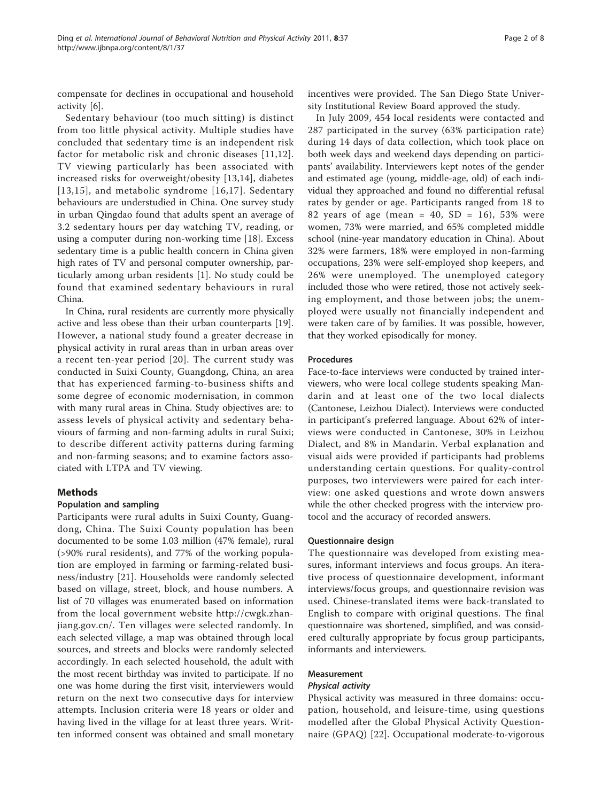compensate for declines in occupational and household activity [\[6\]](#page-6-0).

Sedentary behaviour (too much sitting) is distinct from too little physical activity. Multiple studies have concluded that sedentary time is an independent risk factor for metabolic risk and chronic diseases [[11](#page-6-0),[12\]](#page-6-0). TV viewing particularly has been associated with increased risks for overweight/obesity [[13,14](#page-6-0)], diabetes [[13](#page-6-0),[15](#page-6-0)], and metabolic syndrome [[16,17](#page-6-0)]. Sedentary behaviours are understudied in China. One survey study in urban Qingdao found that adults spent an average of 3.2 sedentary hours per day watching TV, reading, or using a computer during non-working time [[18\]](#page-6-0). Excess sedentary time is a public health concern in China given high rates of TV and personal computer ownership, particularly among urban residents [\[1](#page-6-0)]. No study could be found that examined sedentary behaviours in rural China.

In China, rural residents are currently more physically active and less obese than their urban counterparts [\[19](#page-6-0)]. However, a national study found a greater decrease in physical activity in rural areas than in urban areas over a recent ten-year period [[20](#page-7-0)]. The current study was conducted in Suixi County, Guangdong, China, an area that has experienced farming-to-business shifts and some degree of economic modernisation, in common with many rural areas in China. Study objectives are: to assess levels of physical activity and sedentary behaviours of farming and non-farming adults in rural Suixi; to describe different activity patterns during farming and non-farming seasons; and to examine factors associated with LTPA and TV viewing.

# Methods

# Population and sampling

Participants were rural adults in Suixi County, Guangdong, China. The Suixi County population has been documented to be some 1.03 million (47% female), rural (>90% rural residents), and 77% of the working population are employed in farming or farming-related business/industry [\[21](#page-7-0)]. Households were randomly selected based on village, street, block, and house numbers. A list of 70 villages was enumerated based on information from the local government website [http://cwgk.zhan](http://cwgk.zhanjiang.gov.cn/)[jiang.gov.cn/](http://cwgk.zhanjiang.gov.cn/). Ten villages were selected randomly. In each selected village, a map was obtained through local sources, and streets and blocks were randomly selected accordingly. In each selected household, the adult with the most recent birthday was invited to participate. If no one was home during the first visit, interviewers would return on the next two consecutive days for interview attempts. Inclusion criteria were 18 years or older and having lived in the village for at least three years. Written informed consent was obtained and small monetary incentives were provided. The San Diego State University Institutional Review Board approved the study.

In July 2009, 454 local residents were contacted and 287 participated in the survey (63% participation rate) during 14 days of data collection, which took place on both week days and weekend days depending on participants' availability. Interviewers kept notes of the gender and estimated age (young, middle-age, old) of each individual they approached and found no differential refusal rates by gender or age. Participants ranged from 18 to 82 years of age (mean = 40, SD = 16), 53% were women, 73% were married, and 65% completed middle school (nine-year mandatory education in China). About 32% were farmers, 18% were employed in non-farming occupations, 23% were self-employed shop keepers, and 26% were unemployed. The unemployed category included those who were retired, those not actively seeking employment, and those between jobs; the unemployed were usually not financially independent and were taken care of by families. It was possible, however, that they worked episodically for money.

#### Procedures

Face-to-face interviews were conducted by trained interviewers, who were local college students speaking Mandarin and at least one of the two local dialects (Cantonese, Leizhou Dialect). Interviews were conducted in participant's preferred language. About 62% of interviews were conducted in Cantonese, 30% in Leizhou Dialect, and 8% in Mandarin. Verbal explanation and visual aids were provided if participants had problems understanding certain questions. For quality-control purposes, two interviewers were paired for each interview: one asked questions and wrote down answers while the other checked progress with the interview protocol and the accuracy of recorded answers.

### Questionnaire design

The questionnaire was developed from existing measures, informant interviews and focus groups. An iterative process of questionnaire development, informant interviews/focus groups, and questionnaire revision was used. Chinese-translated items were back-translated to English to compare with original questions. The final questionnaire was shortened, simplified, and was considered culturally appropriate by focus group participants, informants and interviewers.

#### Measurement

#### Physical activity

Physical activity was measured in three domains: occupation, household, and leisure-time, using questions modelled after the Global Physical Activity Questionnaire (GPAQ) [[22\]](#page-7-0). Occupational moderate-to-vigorous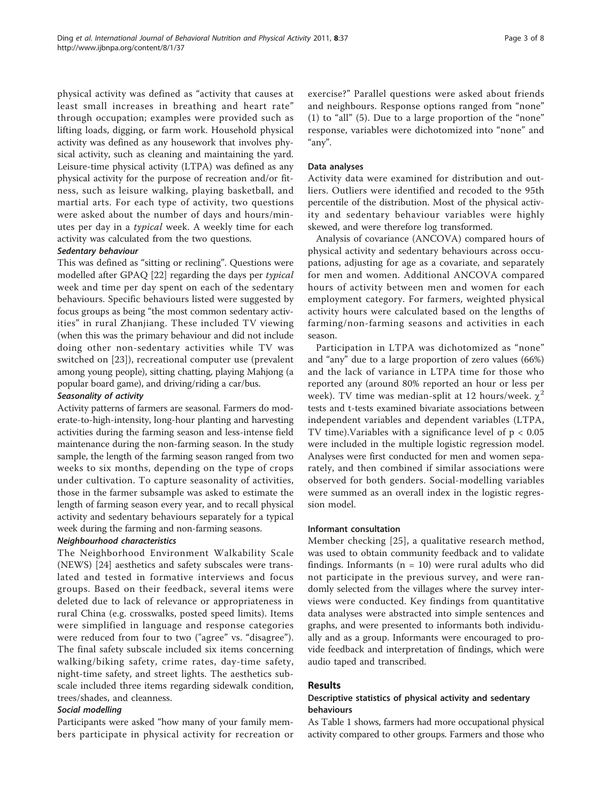physical activity was defined as "activity that causes at least small increases in breathing and heart rate" through occupation; examples were provided such as lifting loads, digging, or farm work. Household physical activity was defined as any housework that involves physical activity, such as cleaning and maintaining the yard. Leisure-time physical activity (LTPA) was defined as any physical activity for the purpose of recreation and/or fitness, such as leisure walking, playing basketball, and martial arts. For each type of activity, two questions were asked about the number of days and hours/minutes per day in a typical week. A weekly time for each activity was calculated from the two questions.

# Sedentary behaviour

This was defined as "sitting or reclining". Questions were modelled after GPAQ [\[22](#page-7-0)] regarding the days per typical week and time per day spent on each of the sedentary behaviours. Specific behaviours listed were suggested by focus groups as being "the most common sedentary activities" in rural Zhanjiang. These included TV viewing (when this was the primary behaviour and did not include doing other non-sedentary activities while TV was switched on [\[23\]](#page-7-0)), recreational computer use (prevalent among young people), sitting chatting, playing Mahjong (a popular board game), and driving/riding a car/bus.

# Seasonality of activity

Activity patterns of farmers are seasonal. Farmers do moderate-to-high-intensity, long-hour planting and harvesting activities during the farming season and less-intense field maintenance during the non-farming season. In the study sample, the length of the farming season ranged from two weeks to six months, depending on the type of crops under cultivation. To capture seasonality of activities, those in the farmer subsample was asked to estimate the length of farming season every year, and to recall physical activity and sedentary behaviours separately for a typical week during the farming and non-farming seasons.

# Neighbourhood characteristics

The Neighborhood Environment Walkability Scale (NEWS) [[24\]](#page-7-0) aesthetics and safety subscales were translated and tested in formative interviews and focus groups. Based on their feedback, several items were deleted due to lack of relevance or appropriateness in rural China (e.g. crosswalks, posted speed limits). Items were simplified in language and response categories were reduced from four to two ("agree" vs. "disagree"). The final safety subscale included six items concerning walking/biking safety, crime rates, day-time safety, night-time safety, and street lights. The aesthetics subscale included three items regarding sidewalk condition, trees/shades, and cleanness.

# Social modelling

Participants were asked "how many of your family members participate in physical activity for recreation or exercise?" Parallel questions were asked about friends and neighbours. Response options ranged from "none" (1) to "all" (5). Due to a large proportion of the "none" response, variables were dichotomized into "none" and "any".

# Data analyses

Activity data were examined for distribution and outliers. Outliers were identified and recoded to the 95th percentile of the distribution. Most of the physical activity and sedentary behaviour variables were highly skewed, and were therefore log transformed.

Analysis of covariance (ANCOVA) compared hours of physical activity and sedentary behaviours across occupations, adjusting for age as a covariate, and separately for men and women. Additional ANCOVA compared hours of activity between men and women for each employment category. For farmers, weighted physical activity hours were calculated based on the lengths of farming/non-farming seasons and activities in each season.

Participation in LTPA was dichotomized as "none" and "any" due to a large proportion of zero values (66%) and the lack of variance in LTPA time for those who reported any (around 80% reported an hour or less per week). TV time was median-split at 12 hours/week.  $\chi^2$ tests and t-tests examined bivariate associations between independent variables and dependent variables (LTPA, TV time). Variables with a significance level of  $p < 0.05$ were included in the multiple logistic regression model. Analyses were first conducted for men and women separately, and then combined if similar associations were observed for both genders. Social-modelling variables were summed as an overall index in the logistic regression model.

# Informant consultation

Member checking [[25](#page-7-0)], a qualitative research method, was used to obtain community feedback and to validate findings. Informants ( $n = 10$ ) were rural adults who did not participate in the previous survey, and were randomly selected from the villages where the survey interviews were conducted. Key findings from quantitative data analyses were abstracted into simple sentences and graphs, and were presented to informants both individually and as a group. Informants were encouraged to provide feedback and interpretation of findings, which were audio taped and transcribed.

# Results

# Descriptive statistics of physical activity and sedentary behaviours

As Table [1](#page-3-0) shows, farmers had more occupational physical activity compared to other groups. Farmers and those who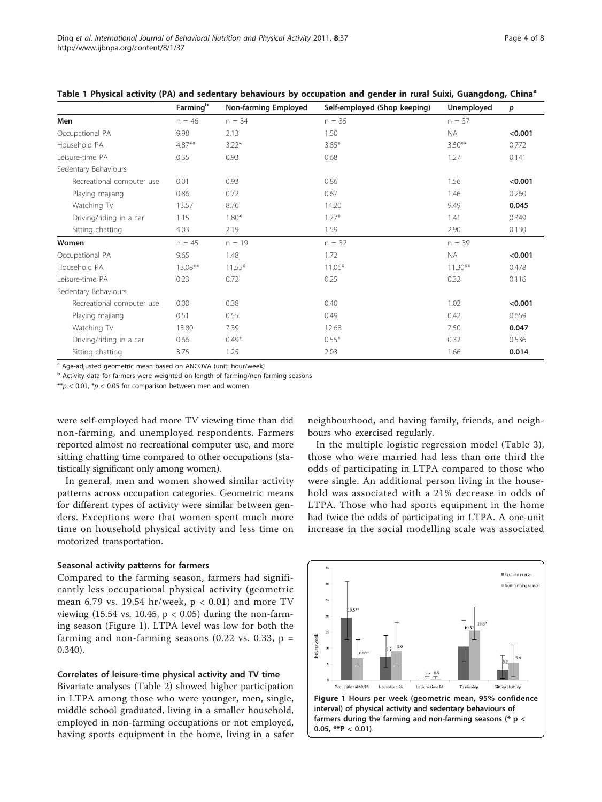|  | Page 4 of 8 |  |  |  |
|--|-------------|--|--|--|
|--|-------------|--|--|--|

|                           | Farming <sup>b</sup> | Non-farming Employed | Self-employed (Shop keeping) | Unemployed | $\boldsymbol{p}$ |
|---------------------------|----------------------|----------------------|------------------------------|------------|------------------|
| Men                       | $n = 46$             | $n = 34$             | $n = 35$                     | $n = 37$   |                  |
| Occupational PA           | 9.98                 | 2.13                 | 1.50                         | <b>NA</b>  | < 0.001          |
| Household PA              | $4.87***$            | $3.22*$              | $3.85*$                      | $3.50***$  | 0.772            |
| Leisure-time PA           | 0.35                 | 0.93                 | 0.68                         | 1.27       | 0.141            |
| Sedentary Behaviours      |                      |                      |                              |            |                  |
| Recreational computer use | 0.01                 | 0.93                 | 0.86                         | 1.56       | < 0.001          |
| Playing majiang           | 0.86                 | 0.72                 | 0.67                         | 1.46       | 0.260            |
| Watching TV               | 13.57                | 8.76                 | 14.20                        | 9.49       | 0.045            |
| Driving/riding in a car   | 1.15                 | $1.80*$              | $1.77*$                      | 1.41       | 0.349            |
| Sitting chatting          | 4.03                 | 2.19                 | 1.59                         | 2.90       | 0.130            |
| Women                     | $n = 45$             | $n = 19$             | $n = 32$                     | $n = 39$   |                  |
| Occupational PA           | 9.65                 | 1.48                 | 1.72                         | <b>NA</b>  | < 0.001          |
| Household PA              | 13.08**              | $11.55*$             | $11.06*$                     | $11.30***$ | 0.478            |
| Leisure-time PA           | 0.23                 | 0.72                 | 0.25                         | 0.32       | 0.116            |
| Sedentary Behaviours      |                      |                      |                              |            |                  |
| Recreational computer use | 0.00                 | 0.38                 | 0.40                         | 1.02       | < 0.001          |
| Playing majiang           | 0.51                 | 0.55                 | 0.49                         | 0.42       | 0.659            |
| Watching TV               | 13.80                | 7.39                 | 12.68                        | 7.50       | 0.047            |
| Driving/riding in a car   | 0.66                 | $0.49*$              | $0.55*$                      | 0.32       | 0.536            |
| Sitting chatting          | 3.75                 | 1.25                 | 2.03                         | 1.66       | 0.014            |

<span id="page-3-0"></span>Table 1 Physical activity (PA) and sedentary behaviours by occupation and gender in rural Suixi, Guangdong, China<sup>a</sup>

<sup>a</sup> Age-adjusted geometric mean based on ANCOVA (unit: hour/week)

<sup>b</sup> Activity data for farmers were weighted on length of farming/non-farming seasons

\*\*p < 0.01, \*p < 0.05 for comparison between men and women

were self-employed had more TV viewing time than did non-farming, and unemployed respondents. Farmers reported almost no recreational computer use, and more sitting chatting time compared to other occupations (statistically significant only among women).

In general, men and women showed similar activity patterns across occupation categories. Geometric means for different types of activity were similar between genders. Exceptions were that women spent much more time on household physical activity and less time on motorized transportation.

# Seasonal activity patterns for farmers

Compared to the farming season, farmers had significantly less occupational physical activity (geometric mean 6.79 vs. 19.54 hr/week,  $p < 0.01$ ) and more TV viewing (15.54 vs. 10.45,  $p < 0.05$ ) during the non-farming season (Figure 1). LTPA level was low for both the farming and non-farming seasons  $(0.22 \text{ vs. } 0.33, \text{ p} =$ 0.340).

#### Correlates of leisure-time physical activity and TV time

Bivariate analyses (Table [2\)](#page-4-0) showed higher participation in LTPA among those who were younger, men, single, middle school graduated, living in a smaller household, employed in non-farming occupations or not employed, having sports equipment in the home, living in a safer

neighbourhood, and having family, friends, and neighbours who exercised regularly.

In the multiple logistic regression model (Table [3\)](#page-5-0), those who were married had less than one third the odds of participating in LTPA compared to those who were single. An additional person living in the household was associated with a 21% decrease in odds of LTPA. Those who had sports equipment in the home had twice the odds of participating in LTPA. A one-unit increase in the social modelling scale was associated

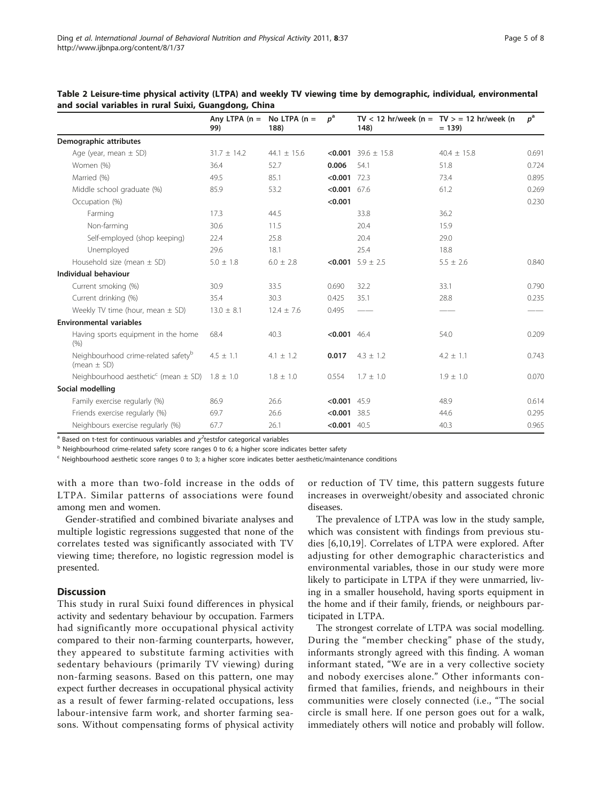|                                                                    | Any LTPA $(n =$<br>99) | No LTPA $(n =$<br>188) | $p^{\rm a}$    | 148)                         | TV < 12 hr/week (n = TV $>$ = 12 hr/week (n<br>$= 139$ | $p^{\rm a}$ |
|--------------------------------------------------------------------|------------------------|------------------------|----------------|------------------------------|--------------------------------------------------------|-------------|
| Demographic attributes                                             |                        |                        |                |                              |                                                        |             |
| Age (year, mean $\pm$ SD)                                          | $31.7 \pm 14.2$        | 44.1 $\pm$ 15.6        |                | $\leq$ 0.001 39.6 $\pm$ 15.8 | $40.4 \pm 15.8$                                        | 0.691       |
| Women (%)                                                          | 36.4                   | 52.7                   | 0.006          | 54.1                         | 51.8                                                   | 0.724       |
| Married (%)                                                        | 49.5                   | 85.1                   | < 0.001        | 72.3                         | 73.4                                                   | 0.895       |
| Middle school graduate (%)                                         | 85.9                   | 53.2                   | $< 0.001$ 67.6 |                              | 61.2                                                   | 0.269       |
| Occupation (%)                                                     |                        |                        | < 0.001        |                              |                                                        | 0.230       |
| Farming                                                            | 17.3                   | 44.5                   |                | 33.8                         | 36.2                                                   |             |
| Non-farming                                                        | 30.6                   | 11.5                   |                | 20.4                         | 15.9                                                   |             |
| Self-employed (shop keeping)                                       | 22.4                   | 25.8                   |                | 20.4                         | 29.0                                                   |             |
| Unemployed                                                         | 29.6                   | 18.1                   |                | 25.4                         | 18.8                                                   |             |
| Household size (mean $\pm$ SD)                                     | $5.0 \pm 1.8$          | $6.0 \pm 2.8$          |                | $<0.001$ 5.9 $\pm$ 2.5       | $5.5 \pm 2.6$                                          | 0.840       |
| Individual behaviour                                               |                        |                        |                |                              |                                                        |             |
| Current smoking (%)                                                | 30.9                   | 33.5                   | 0.690          | 32.2                         | 33.1                                                   | 0.790       |
| Current drinking (%)                                               | 35.4                   | 30.3                   | 0.425          | 35.1                         | 28.8                                                   | 0.235       |
| Weekly TV time (hour, mean $\pm$ SD)                               | $13.0 \pm 8.1$         | $12.4 \pm 7.6$         | 0.495          |                              |                                                        |             |
| <b>Environmental variables</b>                                     |                        |                        |                |                              |                                                        |             |
| Having sports equipment in the home<br>(% )                        | 68.4                   | 40.3                   | $< 0.001$ 46.4 |                              | 54.0                                                   | 0.209       |
| Neighbourhood crime-related safety <sup>b</sup><br>(mean $\pm$ SD) | $4.5 \pm 1.1$          | $4.1 \pm 1.2$          | 0.017          | $4.3 \pm 1.2$                | $4.2 \pm 1.1$                                          | 0.743       |
| Neighbourhood aesthetic <sup>c</sup> (mean $\pm$ SD) 1.8 $\pm$ 1.0 |                        | $1.8 \pm 1.0$          | 0.554          | $1.7 \pm 1.0$                | $1.9 \pm 1.0$                                          | 0.070       |
| Social modelling                                                   |                        |                        |                |                              |                                                        |             |
| Family exercise regularly (%)                                      | 86.9                   | 26.6                   | $<0.001$ 45.9  |                              | 48.9                                                   | 0.614       |
| Friends exercise regularly (%)                                     | 69.7                   | 26.6                   | < 0.001        | 38.5                         | 44.6                                                   | 0.295       |
| Neighbours exercise regularly (%)                                  | 67.7                   | 26.1                   | $< 0.001$ 40.5 |                              | 40.3                                                   | 0.965       |

<span id="page-4-0"></span>Table 2 Leisure-time physical activity (LTPA) and weekly TV viewing time by demographic, individual, environmental and social variables in rural Suixi, Guangdong, China

<sup>a</sup> Based on t-test for continuous variables and  $\chi^2$ testsfor categorical variables

<sup>b</sup> Neighbourhood crime-related safety score ranges 0 to 6; a higher score indicates better safety

<sup>c</sup> Neighbourhood aesthetic score ranges 0 to 3; a higher score indicates better aesthetic/maintenance conditions

with a more than two-fold increase in the odds of LTPA. Similar patterns of associations were found among men and women.

Gender-stratified and combined bivariate analyses and multiple logistic regressions suggested that none of the correlates tested was significantly associated with TV viewing time; therefore, no logistic regression model is presented.

# **Discussion**

This study in rural Suixi found differences in physical activity and sedentary behaviour by occupation. Farmers had significantly more occupational physical activity compared to their non-farming counterparts, however, they appeared to substitute farming activities with sedentary behaviours (primarily TV viewing) during non-farming seasons. Based on this pattern, one may expect further decreases in occupational physical activity as a result of fewer farming-related occupations, less labour-intensive farm work, and shorter farming seasons. Without compensating forms of physical activity

or reduction of TV time, this pattern suggests future increases in overweight/obesity and associated chronic diseases.

The prevalence of LTPA was low in the study sample, which was consistent with findings from previous studies [[6,10,19](#page-6-0)]. Correlates of LTPA were explored. After adjusting for other demographic characteristics and environmental variables, those in our study were more likely to participate in LTPA if they were unmarried, living in a smaller household, having sports equipment in the home and if their family, friends, or neighbours participated in LTPA.

The strongest correlate of LTPA was social modelling. During the "member checking" phase of the study, informants strongly agreed with this finding. A woman informant stated, "We are in a very collective society and nobody exercises alone." Other informants confirmed that families, friends, and neighbours in their communities were closely connected (i.e., "The social circle is small here. If one person goes out for a walk, immediately others will notice and probably will follow.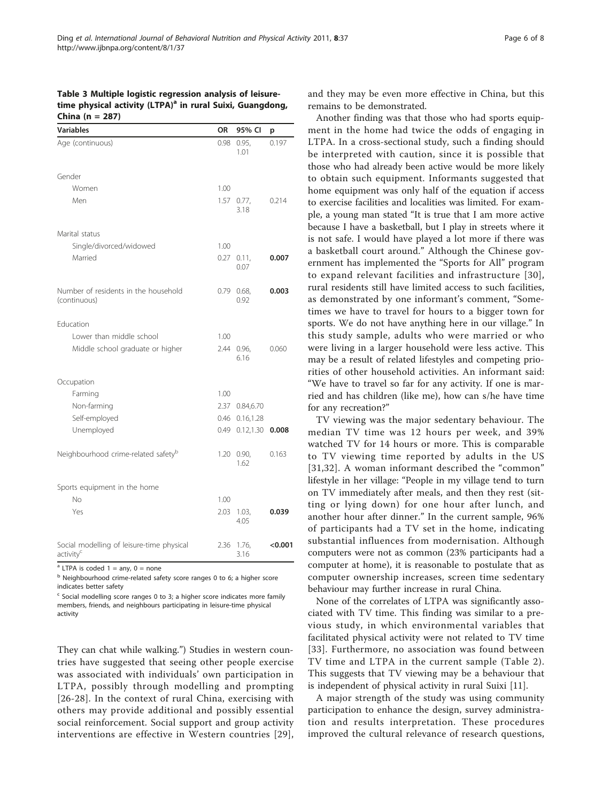# <span id="page-5-0"></span>Table 3 Multiple logistic regression analysis of leisuretime physical activity  $(LTPA)^a$  in rural Suixi, Guangdong, China (n = 287)

| <b>Variables</b>                                                   | <b>OR</b> | 95% CI                  | p       |
|--------------------------------------------------------------------|-----------|-------------------------|---------|
| Age (continuous)                                                   | 0.98      | 0.95,<br>1.01           | 0.197   |
| Gender                                                             |           |                         |         |
| Women                                                              | 1.00      |                         |         |
| Men                                                                |           | 1.57 0.77,<br>3.18      | 0.214   |
| Marital status                                                     |           |                         |         |
| Single/divorced/widowed                                            | 1.00      |                         |         |
| Married                                                            |           | $0.27$ $0.11$ ,<br>0.07 | 0.007   |
| Number of residents in the household<br>(continuous)               | 0.79      | 0.68,<br>0.92           | 0.003   |
| Education                                                          |           |                         |         |
| Lower than middle school                                           | 1.00      |                         |         |
| Middle school graduate or higher                                   | 2.44      | 0.96,<br>6.16           | 0.060   |
| Occupation                                                         |           |                         |         |
| Farming                                                            | 1.00      |                         |         |
| Non-farming                                                        |           | 2.37 0.84,6.70          |         |
| Self-employed                                                      |           | 0.46 0.16,1.28          |         |
| Unemployed                                                         |           | 0.49 0.12,1.30 0.008    |         |
| Neighbourhood crime-related safetyb                                | 1.20      | 0.90,<br>1.62           | 0.163   |
| Sports equipment in the home                                       |           |                         |         |
| No                                                                 | 1.00      |                         |         |
| Yes                                                                | 2.03      | 1.03,<br>4.05           | 0.039   |
| Social modelling of leisure-time physical<br>activity <sup>c</sup> | 2.36      | 1.76,<br>3.16           | < 0.001 |

LTPA is coded  $1 = any$ ,  $0 = none$ 

<sup>b</sup> Neighbourhood crime-related safety score ranges 0 to 6; a higher score indicates better safety

 $\epsilon$  Social modelling score ranges 0 to 3; a higher score indicates more family members, friends, and neighbours participating in leisure-time physical activity

They can chat while walking.") Studies in western countries have suggested that seeing other people exercise was associated with individuals' own participation in LTPA, possibly through modelling and prompting [[26](#page-7-0)-[28](#page-7-0)]. In the context of rural China, exercising with others may provide additional and possibly essential social reinforcement. Social support and group activity interventions are effective in Western countries [[29\]](#page-7-0), and they may be even more effective in China, but this remains to be demonstrated.

Another finding was that those who had sports equipment in the home had twice the odds of engaging in LTPA. In a cross-sectional study, such a finding should be interpreted with caution, since it is possible that those who had already been active would be more likely to obtain such equipment. Informants suggested that home equipment was only half of the equation if access to exercise facilities and localities was limited. For example, a young man stated "It is true that I am more active because I have a basketball, but I play in streets where it is not safe. I would have played a lot more if there was a basketball court around." Although the Chinese government has implemented the "Sports for All" program to expand relevant facilities and infrastructure [[30\]](#page-7-0), rural residents still have limited access to such facilities, as demonstrated by one informant's comment, "Sometimes we have to travel for hours to a bigger town for sports. We do not have anything here in our village." In this study sample, adults who were married or who were living in a larger household were less active. This may be a result of related lifestyles and competing priorities of other household activities. An informant said: "We have to travel so far for any activity. If one is married and has children (like me), how can s/he have time for any recreation?"

TV viewing was the major sedentary behaviour. The median TV time was 12 hours per week, and 39% watched TV for 14 hours or more. This is comparable to TV viewing time reported by adults in the US [[31](#page-7-0),[32](#page-7-0)]. A woman informant described the "common" lifestyle in her village: "People in my village tend to turn on TV immediately after meals, and then they rest (sitting or lying down) for one hour after lunch, and another hour after dinner." In the current sample, 96% of participants had a TV set in the home, indicating substantial influences from modernisation. Although computers were not as common (23% participants had a computer at home), it is reasonable to postulate that as computer ownership increases, screen time sedentary behaviour may further increase in rural China.

None of the correlates of LTPA was significantly associated with TV time. This finding was similar to a previous study, in which environmental variables that facilitated physical activity were not related to TV time [[33\]](#page-7-0). Furthermore, no association was found between TV time and LTPA in the current sample (Table [2\)](#page-4-0). This suggests that TV viewing may be a behaviour that is independent of physical activity in rural Suixi [[11](#page-6-0)].

A major strength of the study was using community participation to enhance the design, survey administration and results interpretation. These procedures improved the cultural relevance of research questions,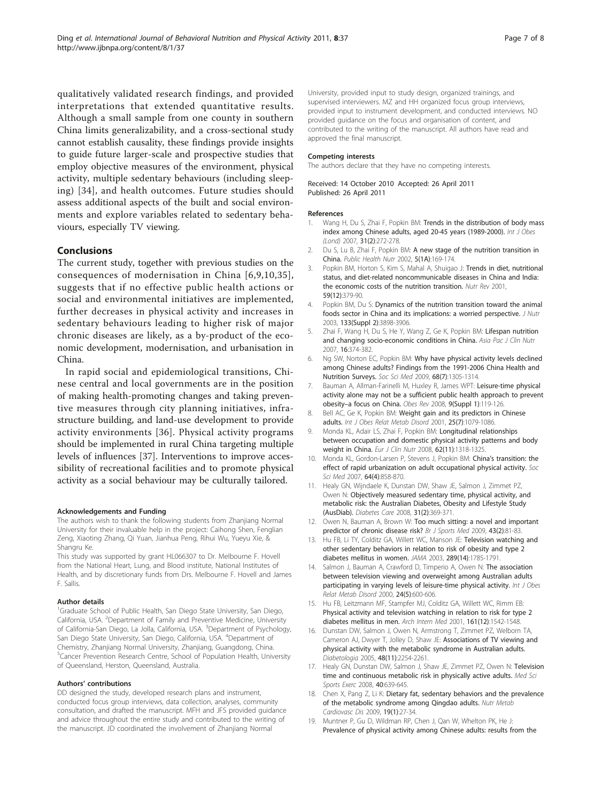<span id="page-6-0"></span>qualitatively validated research findings, and provided interpretations that extended quantitative results. Although a small sample from one county in southern China limits generalizability, and a cross-sectional study cannot establish causality, these findings provide insights to guide future larger-scale and prospective studies that employ objective measures of the environment, physical activity, multiple sedentary behaviours (including sleeping) [\[34\]](#page-7-0), and health outcomes. Future studies should assess additional aspects of the built and social environments and explore variables related to sedentary behaviours, especially TV viewing.

# Conclusions

The current study, together with previous studies on the consequences of modernisation in China [6,9,10,[35\]](#page-7-0), suggests that if no effective public health actions or social and environmental initiatives are implemented, further decreases in physical activity and increases in sedentary behaviours leading to higher risk of major chronic diseases are likely, as a by-product of the economic development, modernisation, and urbanisation in China.

In rapid social and epidemiological transitions, Chinese central and local governments are in the position of making health-promoting changes and taking preventive measures through city planning initiatives, infrastructure building, and land-use development to provide activity environments [[36\]](#page-7-0). Physical activity programs should be implemented in rural China targeting multiple levels of influences [\[37\]](#page-7-0). Interventions to improve accessibility of recreational facilities and to promote physical activity as a social behaviour may be culturally tailored.

#### Acknowledgements and Funding

The authors wish to thank the following students from Zhanjiang Normal University for their invaluable help in the project: Caihong Shen, Fenglian Zeng, Xiaoting Zhang, Qi Yuan, Jianhua Peng, Rihui Wu, Yueyu Xie, & Shangru Ke.

This study was supported by grant HL066307 to Dr. Melbourne F. Hovell from the National Heart, Lung, and Blood institute, National Institutes of Health, and by discretionary funds from Drs. Melbourne F. Hovell and James F. Sallis.

#### Author details

<sup>1</sup>Graduate School of Public Health, San Diego State University, San Diego, California, USA. <sup>2</sup>Department of Family and Preventive Medicine, University of California-San Diego, La Jolla, California, USA. <sup>3</sup>Department of Psychology, San Diego State University, San Diego, California, USA. <sup>4</sup>Department of Chemistry, Zhanjiang Normal University, Zhanjiang, Guangdong, China. <sup>5</sup>Cancer Prevention Research Centre, School of Population Health, University of Queensland, Herston, Queensland, Australia.

#### Authors' contributions

DD designed the study, developed research plans and instrument, conducted focus group interviews, data collection, analyses, community consultation, and drafted the manuscript. MFH and JFS provided guidance and advice throughout the entire study and contributed to the writing of the manuscript. JD coordinated the involvement of Zhanjiang Normal

University, provided input to study design, organized trainings, and supervised interviewers. MZ and HH organized focus group interviews, provided input to instrument development, and conducted interviews. NO provided guidance on the focus and organisation of content, and contributed to the writing of the manuscript. All authors have read and approved the final manuscript.

#### Competing interests

The authors declare that they have no competing interests.

#### Received: 14 October 2010 Accepted: 26 April 2011 Published: 26 April 2011

#### References

- Wang H, Du S, Zhai F, Popkin BM: Trends in the distribution of body mass index among Chinese adults, aged 20-45 years (1989-2000). Int J Obes (Lond) 2007, 31(2):272-278.
- 2. Du S, Lu B, Zhai F, Popkin BM: [A new stage of the nutrition transition in](http://www.ncbi.nlm.nih.gov/pubmed/12027281?dopt=Abstract) [China.](http://www.ncbi.nlm.nih.gov/pubmed/12027281?dopt=Abstract) Public Health Nutr 2002, 5(1A):169-174.
- 3. Popkin BM, Horton S, Kim S, Mahal A, Shuigao J: [Trends in diet, nutritional](http://www.ncbi.nlm.nih.gov/pubmed/11766908?dopt=Abstract) [status, and diet-related noncommunicable diseases in China and India:](http://www.ncbi.nlm.nih.gov/pubmed/11766908?dopt=Abstract) [the economic costs of the nutrition transition.](http://www.ncbi.nlm.nih.gov/pubmed/11766908?dopt=Abstract) Nutr Rev 2001, 59(12):379-90.
- Popkin BM, Du S: Dynamics of the nutrition transition toward the animal foods sector in China and its implications: a worried perspective. J Nutr 2003, 133(Suppl 2):3898-3906.
- 5. Zhai F, Wang H, Du S, He Y, Wang Z, Ge K, Popkin BM: [Lifespan nutrition](http://www.ncbi.nlm.nih.gov/pubmed/17392135?dopt=Abstract) [and changing socio-economic conditions in China.](http://www.ncbi.nlm.nih.gov/pubmed/17392135?dopt=Abstract) Asia Pac J Clin Nutr 2007, 16:374-382.
- 6. Ng SW, Norton EC, Popkin BM: [Why have physical activity levels declined](http://www.ncbi.nlm.nih.gov/pubmed/19232811?dopt=Abstract) [among Chinese adults? Findings from the 1991-2006 China Health and](http://www.ncbi.nlm.nih.gov/pubmed/19232811?dopt=Abstract) [Nutrition Surveys.](http://www.ncbi.nlm.nih.gov/pubmed/19232811?dopt=Abstract) Soc Sci Med 2009, 68(7):1305-1314.
- 7. Bauman A, Allman-Farinelli M, Huxley R, James WPT: [Leisure-time physical](http://www.ncbi.nlm.nih.gov/pubmed/18307713?dopt=Abstract) [activity alone may not be a sufficient public health approach to prevent](http://www.ncbi.nlm.nih.gov/pubmed/18307713?dopt=Abstract) obesity–[a focus on China.](http://www.ncbi.nlm.nih.gov/pubmed/18307713?dopt=Abstract) Obes Rev 2008, 9(Suppl 1):119-126.
- 8. Bell AC, Ge K, Popkin BM: [Weight gain and its predictors in Chinese](http://www.ncbi.nlm.nih.gov/pubmed/11443510?dopt=Abstract) [adults.](http://www.ncbi.nlm.nih.gov/pubmed/11443510?dopt=Abstract) Int J Obes Relat Metab Disord 2001, 25(7):1079-1086.
- 9. Monda KL, Adair LS, Zhai F, Popkin BM: [Longitudinal relationships](http://www.ncbi.nlm.nih.gov/pubmed/17637599?dopt=Abstract) [between occupation and domestic physical activity patterns and body](http://www.ncbi.nlm.nih.gov/pubmed/17637599?dopt=Abstract) [weight in China.](http://www.ncbi.nlm.nih.gov/pubmed/17637599?dopt=Abstract) Eur J Clin Nutr 2008, 62(11):1318-1325.
- 10. Monda KL, Gordon-Larsen P, Stevens J, Popkin BM: China'[s transition: the](http://www.ncbi.nlm.nih.gov/pubmed/17125897?dopt=Abstract) [effect of rapid urbanization on adult occupational physical activity.](http://www.ncbi.nlm.nih.gov/pubmed/17125897?dopt=Abstract) Soc Sci Med 2007, 64(4):858-870.
- 11. Healy GN, Wijndaele K, Dunstan DW, Shaw JE, Salmon J, Zimmet PZ, Owen N: [Objectively measured sedentary time, physical activity, and](http://www.ncbi.nlm.nih.gov/pubmed/18000181?dopt=Abstract) [metabolic risk: the Australian Diabetes, Obesity and Lifestyle Study](http://www.ncbi.nlm.nih.gov/pubmed/18000181?dopt=Abstract) [\(AusDiab\).](http://www.ncbi.nlm.nih.gov/pubmed/18000181?dopt=Abstract) Diabetes Care 2008, 31(2):369-371.
- 12. Owen N, Bauman A, Brown W: [Too much sitting: a novel and important](http://www.ncbi.nlm.nih.gov/pubmed/19050003?dopt=Abstract) [predictor of chronic disease risk?](http://www.ncbi.nlm.nih.gov/pubmed/19050003?dopt=Abstract) Br J Sports Med 2009, 43(2):81-83.
- 13. Hu FB, Li TY, Colditz GA, Willett WC, Manson JE: [Television watching and](http://www.ncbi.nlm.nih.gov/pubmed/12684356?dopt=Abstract) [other sedentary behaviors in relation to risk of obesity and type 2](http://www.ncbi.nlm.nih.gov/pubmed/12684356?dopt=Abstract) [diabetes mellitus in women.](http://www.ncbi.nlm.nih.gov/pubmed/12684356?dopt=Abstract) JAMA 2003, 289(14):1785-1791.
- 14. Salmon J, Bauman A, Crawford D, Timperio A, Owen N: [The association](http://www.ncbi.nlm.nih.gov/pubmed/10849582?dopt=Abstract) between television [viewing and overweight among Australian adults](http://www.ncbi.nlm.nih.gov/pubmed/10849582?dopt=Abstract) [participating in varying levels of leisure-time physical activity.](http://www.ncbi.nlm.nih.gov/pubmed/10849582?dopt=Abstract) Int J Obes Relat Metab Disord 2000, 24(5):600-606.
- 15. Hu FB, Leitzmann MF, Stampfer MJ, Colditz GA, Willett WC, Rimm EB: [Physical activity and television watching in relation to risk for type 2](http://www.ncbi.nlm.nih.gov/pubmed/11427103?dopt=Abstract) [diabetes mellitus in men.](http://www.ncbi.nlm.nih.gov/pubmed/11427103?dopt=Abstract) Arch Intern Med 2001, 161(12):1542-1548.
- 16. Dunstan DW, Salmon J, Owen N, Armstrong T, Zimmet PZ, Welborn TA, Cameron AJ, Dwyer T, Jolley D, Shaw JE: [Associations of TV viewing and](http://www.ncbi.nlm.nih.gov/pubmed/16211373?dopt=Abstract) [physical activity with the metabolic syndrome in Australian adults.](http://www.ncbi.nlm.nih.gov/pubmed/16211373?dopt=Abstract) Diabetologia 2005, 48(11):2254-2261.
- 17. Healy GN, Dunstan DW, Salmon J, Shaw JE, Zimmet PZ, Owen N: [Television](http://www.ncbi.nlm.nih.gov/pubmed/18317383?dopt=Abstract) [time and continuous metabolic risk in physically active adults.](http://www.ncbi.nlm.nih.gov/pubmed/18317383?dopt=Abstract) Med Sci Sports Exerc 2008, 40:639-645.
- 18. Chen X, Pang Z, Li K: [Dietary fat, sedentary behaviors and the prevalence](http://www.ncbi.nlm.nih.gov/pubmed/18472251?dopt=Abstract) [of the metabolic syndrome among Qingdao adults.](http://www.ncbi.nlm.nih.gov/pubmed/18472251?dopt=Abstract) Nutr Metab Cardiovasc Dis 2009, 19(1):27-34.
- 19. Muntner P, Gu D, Wildman RP, Chen J, Qan W, Whelton PK, He J: [Prevalence of physical activity among Chinese adults: results from the](http://www.ncbi.nlm.nih.gov/pubmed/16051938?dopt=Abstract)